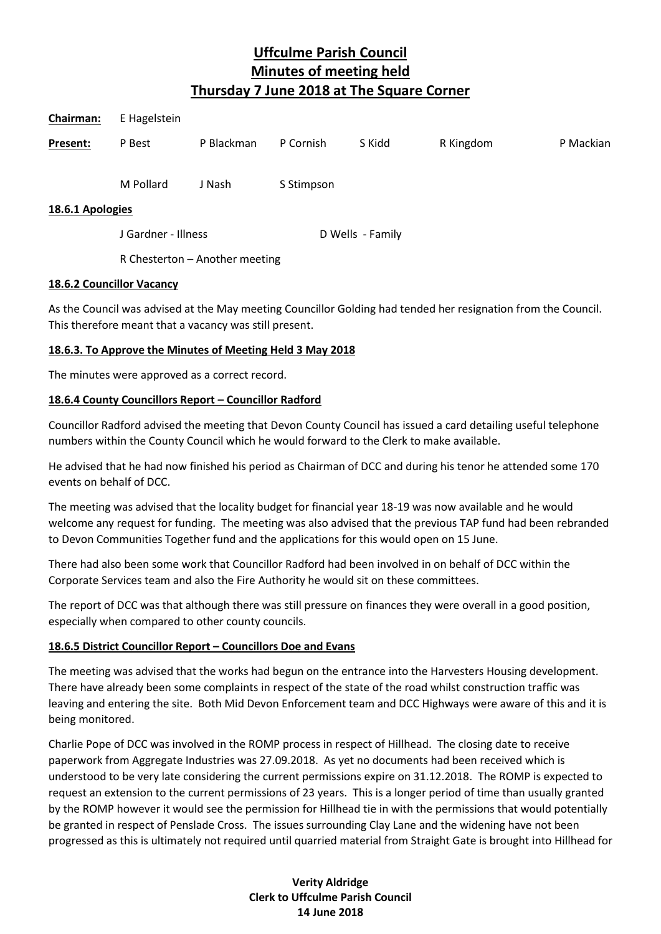| Chairman:        | E Hagelstein        |            |            |                  |           |           |
|------------------|---------------------|------------|------------|------------------|-----------|-----------|
| Present:         | P Best              | P Blackman | P Cornish  | S Kidd           | R Kingdom | P Mackian |
| 18.6.1 Apologies | M Pollard           | J Nash     | S Stimpson |                  |           |           |
|                  | J Gardner - Illness |            |            | D Wells - Family |           |           |

R Chesterton – Another meeting

#### **18.6.2 Councillor Vacancy**

As the Council was advised at the May meeting Councillor Golding had tended her resignation from the Council. This therefore meant that a vacancy was still present.

# **18.6.3. To Approve the Minutes of Meeting Held 3 May 2018**

The minutes were approved as a correct record.

# **18.6.4 County Councillors Report – Councillor Radford**

Councillor Radford advised the meeting that Devon County Council has issued a card detailing useful telephone numbers within the County Council which he would forward to the Clerk to make available.

He advised that he had now finished his period as Chairman of DCC and during his tenor he attended some 170 events on behalf of DCC.

The meeting was advised that the locality budget for financial year 18-19 was now available and he would welcome any request for funding. The meeting was also advised that the previous TAP fund had been rebranded to Devon Communities Together fund and the applications for this would open on 15 June.

There had also been some work that Councillor Radford had been involved in on behalf of DCC within the Corporate Services team and also the Fire Authority he would sit on these committees.

The report of DCC was that although there was still pressure on finances they were overall in a good position, especially when compared to other county councils.

# **18.6.5 District Councillor Report – Councillors Doe and Evans**

The meeting was advised that the works had begun on the entrance into the Harvesters Housing development. There have already been some complaints in respect of the state of the road whilst construction traffic was leaving and entering the site. Both Mid Devon Enforcement team and DCC Highways were aware of this and it is being monitored.

Charlie Pope of DCC was involved in the ROMP process in respect of Hillhead. The closing date to receive paperwork from Aggregate Industries was 27.09.2018. As yet no documents had been received which is understood to be very late considering the current permissions expire on 31.12.2018. The ROMP is expected to request an extension to the current permissions of 23 years. This is a longer period of time than usually granted by the ROMP however it would see the permission for Hillhead tie in with the permissions that would potentially be granted in respect of Penslade Cross. The issues surrounding Clay Lane and the widening have not been progressed as this is ultimately not required until quarried material from Straight Gate is brought into Hillhead for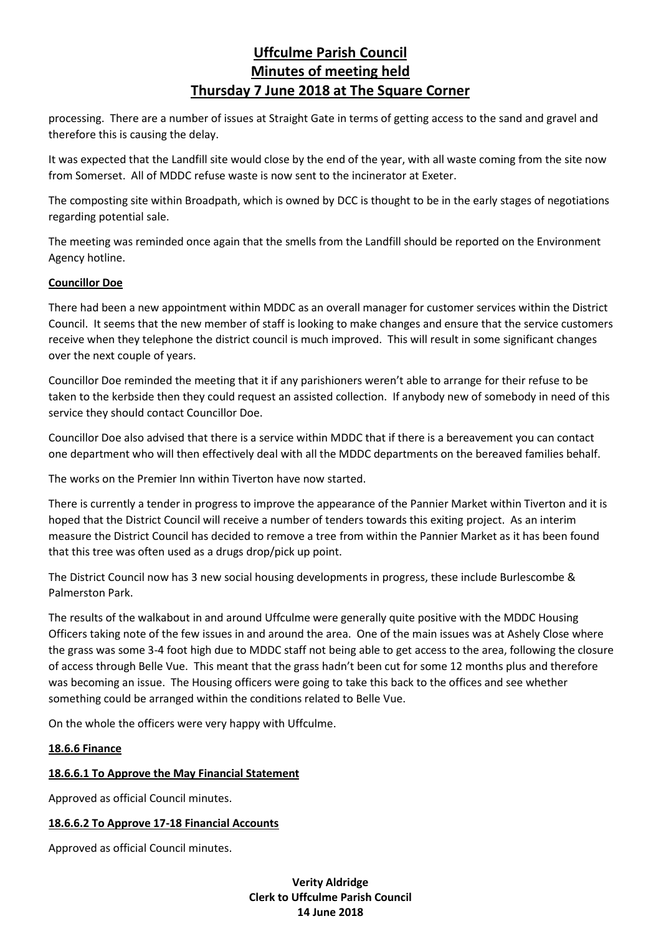processing. There are a number of issues at Straight Gate in terms of getting access to the sand and gravel and therefore this is causing the delay.

It was expected that the Landfill site would close by the end of the year, with all waste coming from the site now from Somerset. All of MDDC refuse waste is now sent to the incinerator at Exeter.

The composting site within Broadpath, which is owned by DCC is thought to be in the early stages of negotiations regarding potential sale.

The meeting was reminded once again that the smells from the Landfill should be reported on the Environment Agency hotline.

#### **Councillor Doe**

There had been a new appointment within MDDC as an overall manager for customer services within the District Council. It seems that the new member of staff is looking to make changes and ensure that the service customers receive when they telephone the district council is much improved. This will result in some significant changes over the next couple of years.

Councillor Doe reminded the meeting that it if any parishioners weren't able to arrange for their refuse to be taken to the kerbside then they could request an assisted collection. If anybody new of somebody in need of this service they should contact Councillor Doe.

Councillor Doe also advised that there is a service within MDDC that if there is a bereavement you can contact one department who will then effectively deal with all the MDDC departments on the bereaved families behalf.

The works on the Premier Inn within Tiverton have now started.

There is currently a tender in progress to improve the appearance of the Pannier Market within Tiverton and it is hoped that the District Council will receive a number of tenders towards this exiting project. As an interim measure the District Council has decided to remove a tree from within the Pannier Market as it has been found that this tree was often used as a drugs drop/pick up point.

The District Council now has 3 new social housing developments in progress, these include Burlescombe & Palmerston Park.

The results of the walkabout in and around Uffculme were generally quite positive with the MDDC Housing Officers taking note of the few issues in and around the area. One of the main issues was at Ashely Close where the grass was some 3-4 foot high due to MDDC staff not being able to get access to the area, following the closure of access through Belle Vue. This meant that the grass hadn't been cut for some 12 months plus and therefore was becoming an issue. The Housing officers were going to take this back to the offices and see whether something could be arranged within the conditions related to Belle Vue.

On the whole the officers were very happy with Uffculme.

# **18.6.6 Finance**

#### **18.6.6.1 To Approve the May Financial Statement**

Approved as official Council minutes.

#### **18.6.6.2 To Approve 17-18 Financial Accounts**

Approved as official Council minutes.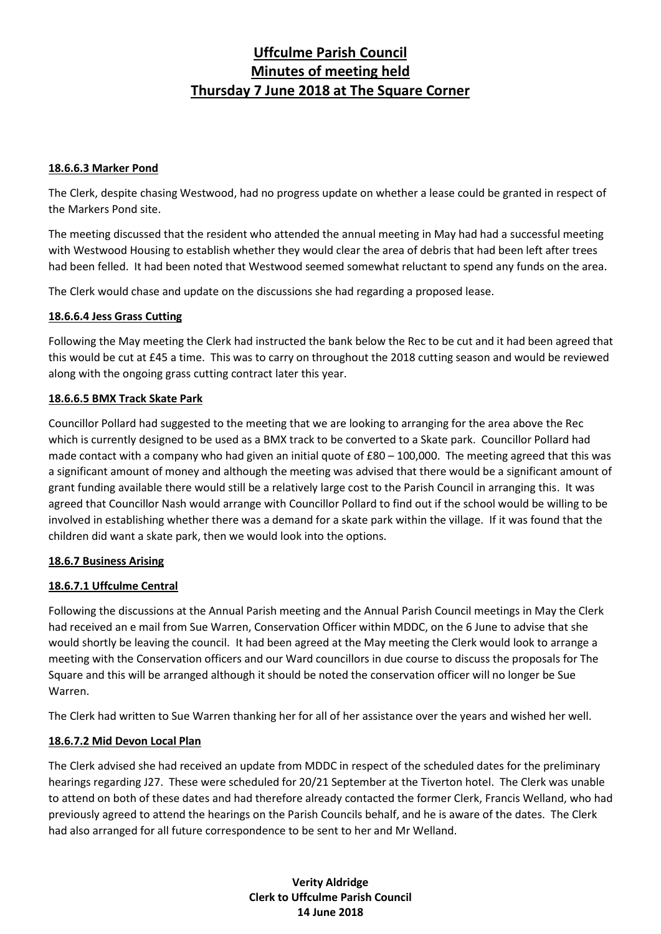#### **18.6.6.3 Marker Pond**

The Clerk, despite chasing Westwood, had no progress update on whether a lease could be granted in respect of the Markers Pond site.

The meeting discussed that the resident who attended the annual meeting in May had had a successful meeting with Westwood Housing to establish whether they would clear the area of debris that had been left after trees had been felled. It had been noted that Westwood seemed somewhat reluctant to spend any funds on the area.

The Clerk would chase and update on the discussions she had regarding a proposed lease.

#### **18.6.6.4 Jess Grass Cutting**

Following the May meeting the Clerk had instructed the bank below the Rec to be cut and it had been agreed that this would be cut at £45 a time. This was to carry on throughout the 2018 cutting season and would be reviewed along with the ongoing grass cutting contract later this year.

#### **18.6.6.5 BMX Track Skate Park**

Councillor Pollard had suggested to the meeting that we are looking to arranging for the area above the Rec which is currently designed to be used as a BMX track to be converted to a Skate park. Councillor Pollard had made contact with a company who had given an initial quote of £80 – 100,000. The meeting agreed that this was a significant amount of money and although the meeting was advised that there would be a significant amount of grant funding available there would still be a relatively large cost to the Parish Council in arranging this. It was agreed that Councillor Nash would arrange with Councillor Pollard to find out if the school would be willing to be involved in establishing whether there was a demand for a skate park within the village. If it was found that the children did want a skate park, then we would look into the options.

# **18.6.7 Business Arising**

# **18.6.7.1 Uffculme Central**

Following the discussions at the Annual Parish meeting and the Annual Parish Council meetings in May the Clerk had received an e mail from Sue Warren, Conservation Officer within MDDC, on the 6 June to advise that she would shortly be leaving the council. It had been agreed at the May meeting the Clerk would look to arrange a meeting with the Conservation officers and our Ward councillors in due course to discuss the proposals for The Square and this will be arranged although it should be noted the conservation officer will no longer be Sue Warren.

The Clerk had written to Sue Warren thanking her for all of her assistance over the years and wished her well.

# **18.6.7.2 Mid Devon Local Plan**

The Clerk advised she had received an update from MDDC in respect of the scheduled dates for the preliminary hearings regarding J27. These were scheduled for 20/21 September at the Tiverton hotel. The Clerk was unable to attend on both of these dates and had therefore already contacted the former Clerk, Francis Welland, who had previously agreed to attend the hearings on the Parish Councils behalf, and he is aware of the dates. The Clerk had also arranged for all future correspondence to be sent to her and Mr Welland.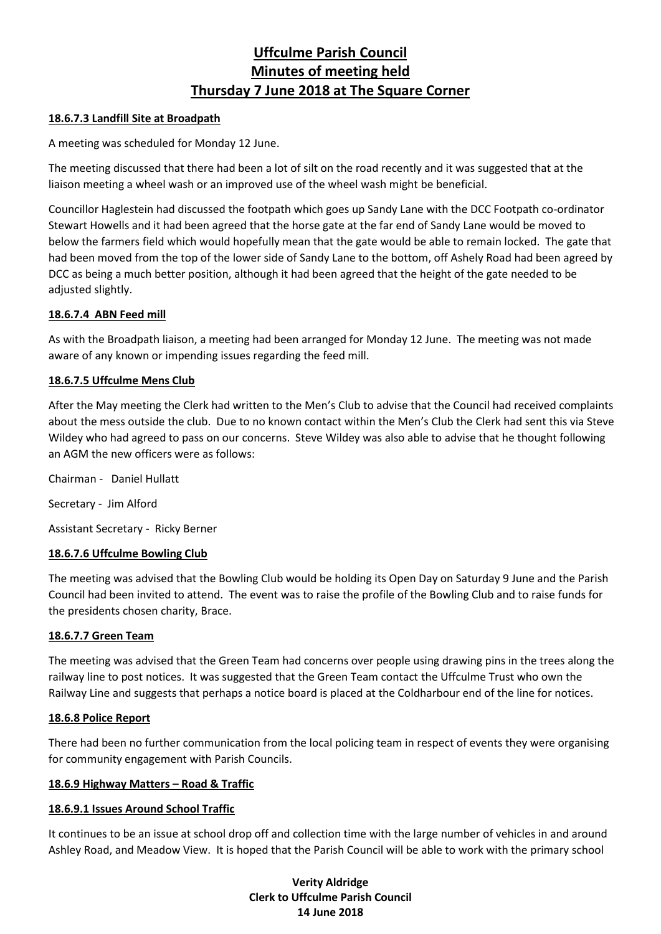# **18.6.7.3 Landfill Site at Broadpath**

A meeting was scheduled for Monday 12 June.

The meeting discussed that there had been a lot of silt on the road recently and it was suggested that at the liaison meeting a wheel wash or an improved use of the wheel wash might be beneficial.

Councillor Haglestein had discussed the footpath which goes up Sandy Lane with the DCC Footpath co-ordinator Stewart Howells and it had been agreed that the horse gate at the far end of Sandy Lane would be moved to below the farmers field which would hopefully mean that the gate would be able to remain locked. The gate that had been moved from the top of the lower side of Sandy Lane to the bottom, off Ashely Road had been agreed by DCC as being a much better position, although it had been agreed that the height of the gate needed to be adjusted slightly.

# **18.6.7.4 ABN Feed mill**

As with the Broadpath liaison, a meeting had been arranged for Monday 12 June. The meeting was not made aware of any known or impending issues regarding the feed mill.

# **18.6.7.5 Uffculme Mens Club**

After the May meeting the Clerk had written to the Men's Club to advise that the Council had received complaints about the mess outside the club. Due to no known contact within the Men's Club the Clerk had sent this via Steve Wildey who had agreed to pass on our concerns. Steve Wildey was also able to advise that he thought following an AGM the new officers were as follows:

Chairman - Daniel Hullatt

Secretary - Jim Alford

Assistant Secretary - Ricky Berner

# **18.6.7.6 Uffculme Bowling Club**

The meeting was advised that the Bowling Club would be holding its Open Day on Saturday 9 June and the Parish Council had been invited to attend. The event was to raise the profile of the Bowling Club and to raise funds for the presidents chosen charity, Brace.

# **18.6.7.7 Green Team**

The meeting was advised that the Green Team had concerns over people using drawing pins in the trees along the railway line to post notices. It was suggested that the Green Team contact the Uffculme Trust who own the Railway Line and suggests that perhaps a notice board is placed at the Coldharbour end of the line for notices.

# **18.6.8 Police Report**

There had been no further communication from the local policing team in respect of events they were organising for community engagement with Parish Councils.

# **18.6.9 Highway Matters – Road & Traffic**

# **18.6.9.1 Issues Around School Traffic**

It continues to be an issue at school drop off and collection time with the large number of vehicles in and around Ashley Road, and Meadow View. It is hoped that the Parish Council will be able to work with the primary school